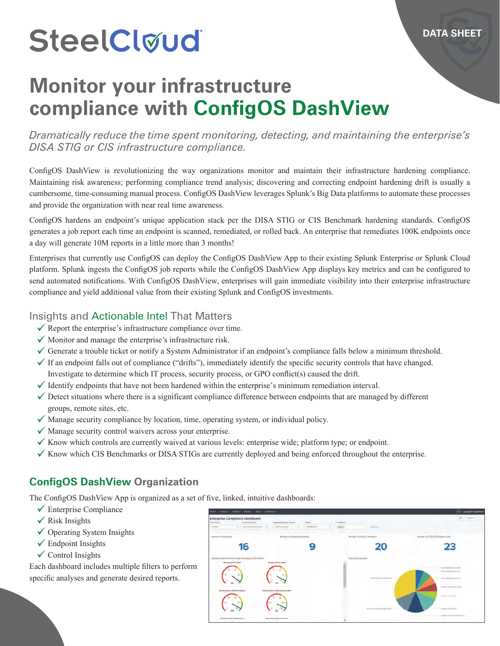# SteelCloud

## **Monitor your infrastructure compliance with ConfigOS DashView**

*Dramatically reduce the time spent monitoring, detecting, and maintaining the enterprise's DISA STIG or CIS infrastructure compliance.*

ConfigOS DashView is revolutionizing the way organizations monitor and maintain their infrastructure hardening compliance. Maintaining risk awareness; performing compliance trend analysis; discovering and correcting endpoint hardening drift is usually a cumbersome, time-consuming manual process. ConfigOS DashView leverages Splunk's Big Data platforms to automate these processes and provide the organization with near real time awareness.

ConfigOS hardens an endpoint's unique application stack per the DISA STIG or CIS Benchmark hardening standards. ConfigOS generates a job report each time an endpoint is scanned, remediated, or rolled back. An enterprise that remediates 100K endpoints once a day will generate 10M reports in a little more than 3 months!

Enterprises that currently use ConfigOS can deploy the ConfigOS DashView App to their existing Splunk Enterprise or Splunk Cloud platform. Splunk ingests the ConfigOS job reports while the ConfigOS DashView App displays key metrics and can be configured to send automated notifications. With ConfigOS DashView, enterprises will gain immediate visibility into their enterprise infrastructure compliance and yield additional value from their existing Splunk and ConfigOS investments.

#### Insights and Actionable Intel That Matters

- $\checkmark$  Report the enterprise's infrastructure compliance over time.
- $\checkmark$  Monitor and manage the enterprise's infrastructure risk.
- Generate a trouble ticket or notify a System Administrator if an endpoint's compliance falls below a minimum threshold.
- $\checkmark$  If an endpoint falls out of compliance ("drifts"), immediately identify the specific security controls that have changed. Investigate to determine which IT process, security process, or GPO conflict(s) caused the drift.
- $\checkmark$  Identify endpoints that have not been hardened within the enterprise's minimum remediation interval.
- $\checkmark$  Detect situations where there is a significant compliance difference between endpoints that are managed by different groups, remote sites, etc.
- $\checkmark$  Manage security compliance by location, time, operating system, or individual policy.
- $\checkmark$  Manage security control waivers across your enterprise.
- $\checkmark$  Know which controls are currently waived at various levels: enterprise wide; platform type; or endpoint.
- $\checkmark$  Know which CIS Benchmarks or DISA STIGs are currently deployed and being enforced throughout the enterprise.

#### **ConfigOS DashView Organization**

The ConfigOS DashView App is organized as a set of five, linked, intuitive dashboards:

- $\sqrt{\ }$ Enterprise Compliance
- $\checkmark$  Risk Insights
- $\checkmark$  Operating System Insights
- $\checkmark$  Endpoint Insights
- $\checkmark$  Control Insights

Each dashboard includes multiple filters to perform specific analyses and generate desired reports.

| <b>Enterprise Compliance Dashboard</b><br>Tonia Picker<br>Compact Distant          | - Operating System Venture<br>Adie           | <b>HollyWork</b>                  | EMA:<br>"Export #                                                                                                                                                                                                                                                                                                                                                                                                                                                                            |
|------------------------------------------------------------------------------------|----------------------------------------------|-----------------------------------|----------------------------------------------------------------------------------------------------------------------------------------------------------------------------------------------------------------------------------------------------------------------------------------------------------------------------------------------------------------------------------------------------------------------------------------------------------------------------------------------|
| · Al Commeditivism<br>call firms.                                                  | Air OS Mexicans<br><b>JENEDATE</b><br>$\sim$ | Makin.<br>--                      |                                                                                                                                                                                                                                                                                                                                                                                                                                                                                              |
| .<br>Number of Endpower                                                            | Number of Opening Systems                    | Number of Policy Containers       | Number of STRI/OS Policys in Use                                                                                                                                                                                                                                                                                                                                                                                                                                                             |
| $\overline{6}$                                                                     |                                              |                                   | フマ                                                                                                                                                                                                                                                                                                                                                                                                                                                                                           |
| Lasest Compliance Percentage Average by OS Venice-<br><b>REVIEWS TO PIN VISION</b> | Mirables 10 Pro v2004                        | <b>Openiolog System</b>           |                                                                                                                                                                                                                                                                                                                                                                                                                                                                                              |
|                                                                                    |                                              |                                   | dama desperanza dall'<br>Third Perpendicul TL                                                                                                                                                                                                                                                                                                                                                                                                                                                |
|                                                                                    |                                              | devices at timely still discounts | Ball franch and a financial district distri-                                                                                                                                                                                                                                                                                                                                                                                                                                                 |
| (decelera) Genier 2013 RD Barriston                                                | 94<br>Windows Server 2016 Standard v1607     |                                   | <b>ROBERT EDGEWATER</b>                                                                                                                                                                                                                                                                                                                                                                                                                                                                      |
|                                                                                    |                                              |                                   | <b>Westman Fly provident</b>                                                                                                                                                                                                                                                                                                                                                                                                                                                                 |
|                                                                                    |                                              | www.com/continues/party           | <b>College College</b><br>Armed & Houston                                                                                                                                                                                                                                                                                                                                                                                                                                                    |
| Winston Servic 2019 Mahdand                                                        | <b>Red Hall Britarylina Linux 6.00</b>       |                                   | $\label{eq:3.1} \begin{split} \mathcal{L}_{\mathcal{M}}(\mathcal{M}) = \mathcal{L}_{\mathcal{M}}(\mathcal{M}) = \mathcal{L}_{\mathcal{M}}(\mathcal{M}) = \mathcal{L}_{\mathcal{M}}(\mathcal{M}) = \mathcal{L}_{\mathcal{M}}(\mathcal{M}) = \mathcal{L}_{\mathcal{M}}(\mathcal{M}) = \mathcal{L}_{\mathcal{M}}(\mathcal{M}) = \mathcal{L}_{\mathcal{M}}(\mathcal{M}) = \mathcal{L}_{\mathcal{M}}(\mathcal{M}) = \mathcal{L}_{\mathcal{M}}(\mathcal{M}) = \mathcal{L}_{\mathcal{M}}(\mathcal{$ |